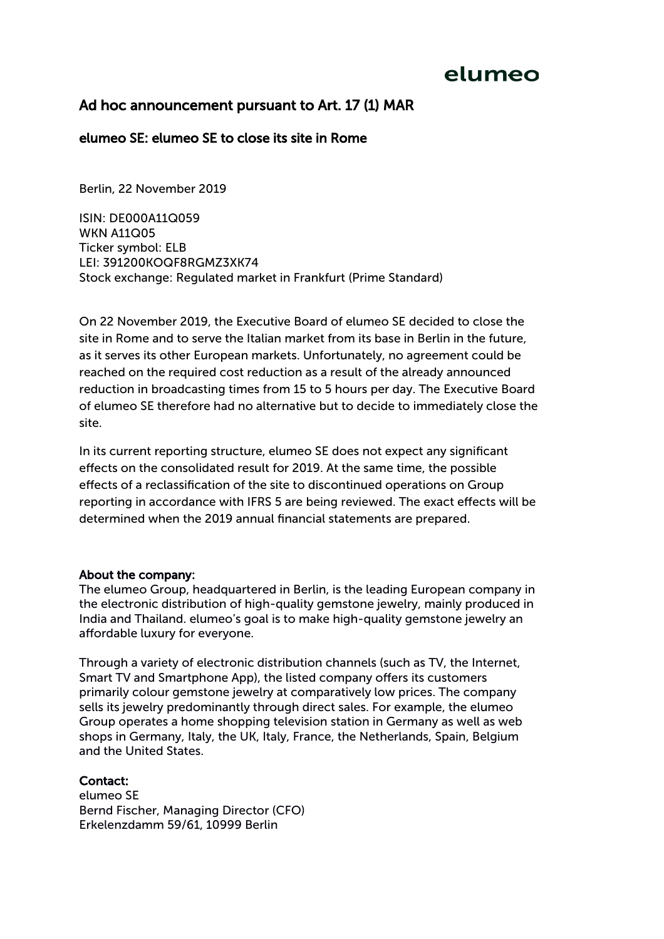## elumeo

### Ad hoc announcement pursuant to Art. 17 (1) MAR

#### elumeo SE: elumeo SE to close its site in Rome

Berlin, 22 November 2019

ISIN: DE000A11Q059 **WKN A11Q05** Ticker symbol: ELB LEI: 391200KOQF8RGMZ3XK74 Stock exchange: Regulated market in Frankfurt (Prime Standard)

On 22 November 2019, the Executive Board of elumeo SE decided to close the site in Rome and to serve the Italian market from its base in Berlin in the future, as it serves its other European markets. Unfortunately, no agreement could be reached on the required cost reduction as a result of the already announced reduction in broadcasting times from 15 to 5 hours per day. The Executive Board of elumeo SE therefore had no alternative but to decide to immediately close the site.

In its current reporting structure, elumeo SE does not expect any signifcant efects on the consolidated result for 2019. At the same time, the possible efects of a reclassifcation of the site to discontinued operations on Group reporting in accordance with IFRS 5 are being reviewed. The exact efects will be determined when the 2019 annual fnancial statements are prepared.

#### About the company:

The elumeo Group, headquartered in Berlin, is the leading European company in the electronic distribution of high-quality gemstone jewelry, mainly produced in India and Thailand. elumeo's goal is to make high-quality gemstone jewelry an affordable luxury for everyone.

Through a variety of electronic distribution channels (such as TV, the Internet, Smart TV and Smartphone App), the listed company offers its customers primarily colour gemstone jewelry at comparatively low prices. The company sells its jewelry predominantly through direct sales. For example, the elumeo Group operates a home shopping television station in Germany as well as web shops in Germany, Italy, the UK, Italy, France, the Netherlands, Spain, Belgium and the United States.

#### Contact:

elumeo SE Bernd Fischer, Managing Director (CFO) Erkelenzdamm 59/61, 10999 Berlin